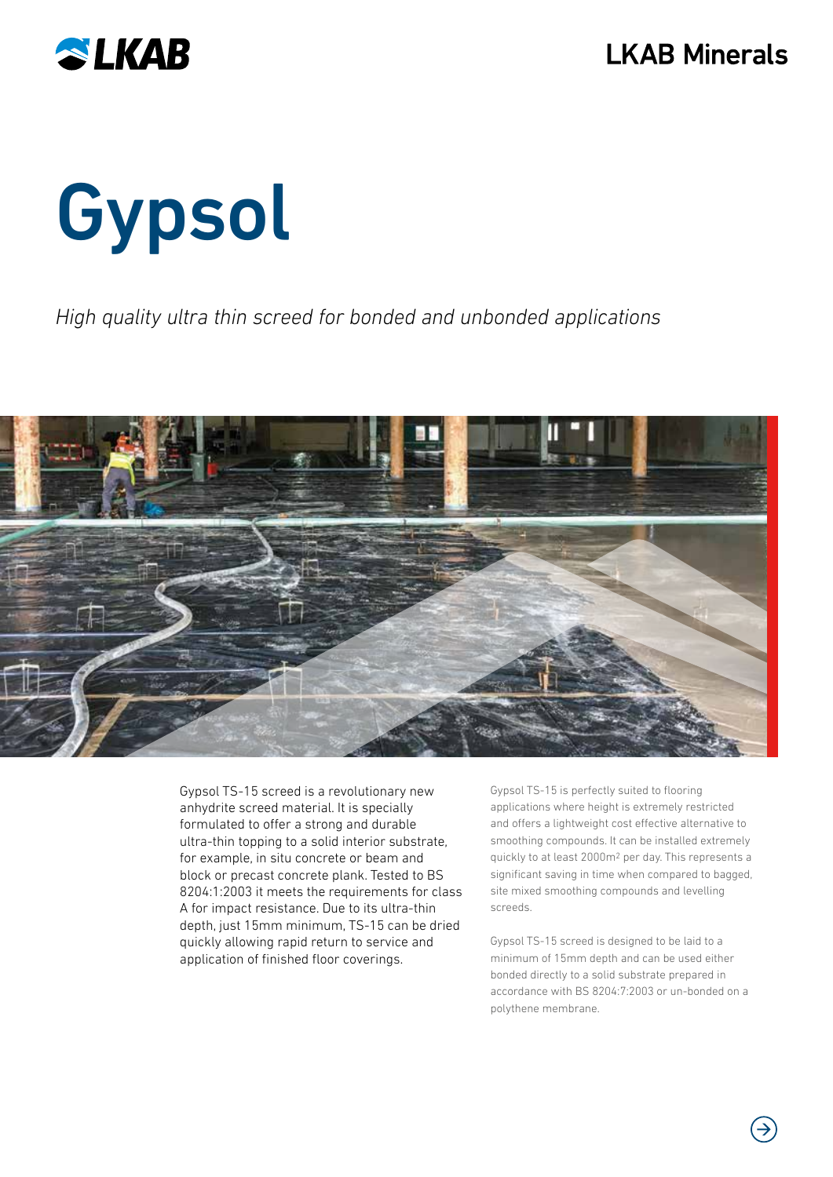

# Gypsol

### High quality ultra thin screed for bonded and unbonded applications



Gypsol TS-15 screed is a revolutionary new anhydrite screed material. It is specially formulated to offer a strong and durable ultra-thin topping to a solid interior substrate, for example, in situ concrete or beam and block or precast concrete plank. Tested to BS 8204:1:2003 it meets the requirements for class A for impact resistance. Due to its ultra-thin depth, just 15mm minimum, TS-15 can be dried quickly allowing rapid return to service and application of finished floor coverings.

Gypsol TS-15 is perfectly suited to flooring applications where height is extremely restricted and offers a lightweight cost effective alternative to smoothing compounds. It can be installed extremely quickly to at least 2000m2 per day. This represents a significant saving in time when compared to bagged, site mixed smoothing compounds and levelling screeds.

Gypsol TS-15 screed is designed to be laid to a minimum of 15mm depth and can be used either bonded directly to a solid substrate prepared in accordance with BS 8204:7:2003 or un-bonded on a polythene membrane.